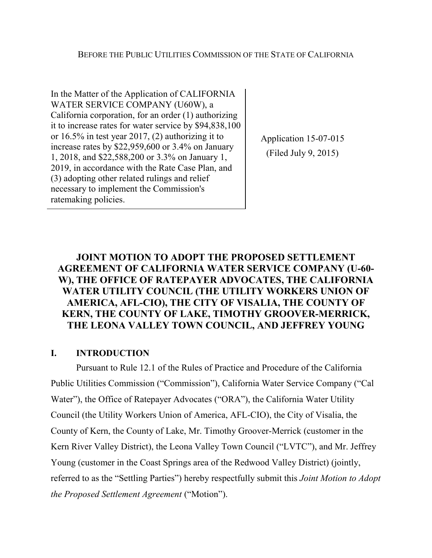In the Matter of the Application of CALIFORNIA WATER SERVICE COMPANY (U60W), a California corporation, for an order (1) authorizing it to increase rates for water service by \$94,838,100 or 16.5% in test year 2017, (2) authorizing it to increase rates by \$22,959,600 or 3.4% on January 1, 2018, and \$22,588,200 or 3.3% on January 1, 2019, in accordance with the Rate Case Plan, and (3) adopting other related rulings and relief necessary to implement the Commission's ratemaking policies.

Application 15-07-015 (Filed July 9, 2015)

# **JOINT MOTION TO ADOPT THE PROPOSED SETTLEMENT AGREEMENT OF CALIFORNIA WATER SERVICE COMPANY (U-60- W), THE OFFICE OF RATEPAYER ADVOCATES, THE CALIFORNIA WATER UTILITY COUNCIL (THE UTILITY WORKERS UNION OF AMERICA, AFL-CIO), THE CITY OF VISALIA, THE COUNTY OF KERN, THE COUNTY OF LAKE, TIMOTHY GROOVER-MERRICK, THE LEONA VALLEY TOWN COUNCIL, AND JEFFREY YOUNG**

# **I. INTRODUCTION**

Pursuant to Rule 12.1 of the Rules of Practice and Procedure of the California Public Utilities Commission ("Commission"), California Water Service Company ("Cal Water"), the Office of Ratepayer Advocates ("ORA"), the California Water Utility Council (the Utility Workers Union of America, AFL-CIO), the City of Visalia, the County of Kern, the County of Lake, Mr. Timothy Groover-Merrick (customer in the Kern River Valley District), the Leona Valley Town Council ("LVTC"), and Mr. Jeffrey Young (customer in the Coast Springs area of the Redwood Valley District) (jointly, referred to as the "Settling Parties") hereby respectfully submit this *Joint Motion to Adopt the Proposed Settlement Agreement* ("Motion").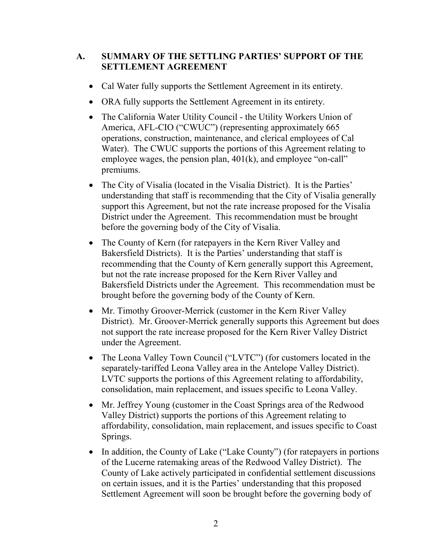# **A. SUMMARY OF THE SETTLING PARTIES' SUPPORT OF THE SETTLEMENT AGREEMENT**

- Cal Water fully supports the Settlement Agreement in its entirety.
- ORA fully supports the Settlement Agreement in its entirety.
- The California Water Utility Council the Utility Workers Union of America, AFL-CIO ("CWUC") (representing approximately 665 operations, construction, maintenance, and clerical employees of Cal Water). The CWUC supports the portions of this Agreement relating to employee wages, the pension plan,  $401(k)$ , and employee "on-call" premiums.
- The City of Visalia (located in the Visalia District). It is the Parties' understanding that staff is recommending that the City of Visalia generally support this Agreement, but not the rate increase proposed for the Visalia District under the Agreement. This recommendation must be brought before the governing body of the City of Visalia.
- The County of Kern (for ratepayers in the Kern River Valley and Bakersfield Districts). It is the Parties' understanding that staff is recommending that the County of Kern generally support this Agreement, but not the rate increase proposed for the Kern River Valley and Bakersfield Districts under the Agreement. This recommendation must be brought before the governing body of the County of Kern.
- Mr. Timothy Groover-Merrick (customer in the Kern River Valley District). Mr. Groover-Merrick generally supports this Agreement but does not support the rate increase proposed for the Kern River Valley District under the Agreement.
- The Leona Valley Town Council ("LVTC") (for customers located in the separately-tariffed Leona Valley area in the Antelope Valley District). LVTC supports the portions of this Agreement relating to affordability, consolidation, main replacement, and issues specific to Leona Valley.
- Mr. Jeffrey Young (customer in the Coast Springs area of the Redwood Valley District) supports the portions of this Agreement relating to affordability, consolidation, main replacement, and issues specific to Coast Springs.
- In addition, the County of Lake ("Lake County") (for ratepayers in portions of the Lucerne ratemaking areas of the Redwood Valley District). The County of Lake actively participated in confidential settlement discussions on certain issues, and it is the Parties' understanding that this proposed Settlement Agreement will soon be brought before the governing body of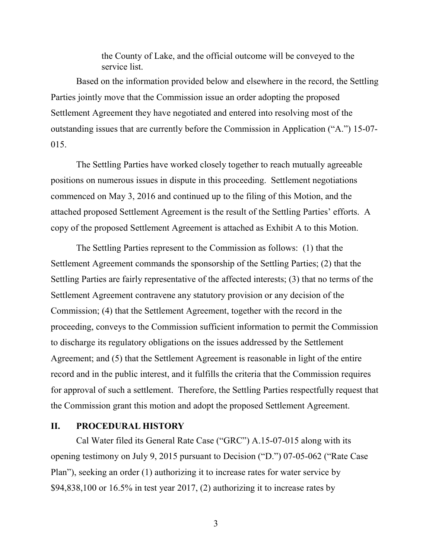the County of Lake, and the official outcome will be conveyed to the service list.

Based on the information provided below and elsewhere in the record, the Settling Parties jointly move that the Commission issue an order adopting the proposed Settlement Agreement they have negotiated and entered into resolving most of the outstanding issues that are currently before the Commission in Application ("A.") 15-07- 015.

The Settling Parties have worked closely together to reach mutually agreeable positions on numerous issues in dispute in this proceeding. Settlement negotiations commenced on May 3, 2016 and continued up to the filing of this Motion, and the attached proposed Settlement Agreement is the result of the Settling Parties' efforts. A copy of the proposed Settlement Agreement is attached as Exhibit A to this Motion.

The Settling Parties represent to the Commission as follows: (1) that the Settlement Agreement commands the sponsorship of the Settling Parties; (2) that the Settling Parties are fairly representative of the affected interests; (3) that no terms of the Settlement Agreement contravene any statutory provision or any decision of the Commission; (4) that the Settlement Agreement, together with the record in the proceeding, conveys to the Commission sufficient information to permit the Commission to discharge its regulatory obligations on the issues addressed by the Settlement Agreement; and (5) that the Settlement Agreement is reasonable in light of the entire record and in the public interest, and it fulfills the criteria that the Commission requires for approval of such a settlement. Therefore, the Settling Parties respectfully request that the Commission grant this motion and adopt the proposed Settlement Agreement.

### **II. PROCEDURAL HISTORY**

Cal Water filed its General Rate Case ("GRC") A.15-07-015 along with its opening testimony on July 9, 2015 pursuant to Decision ("D.") 07-05-062 ("Rate Case Plan"), seeking an order (1) authorizing it to increase rates for water service by  $$94,838,100$  or  $16.5\%$  in test year 2017, (2) authorizing it to increase rates by

3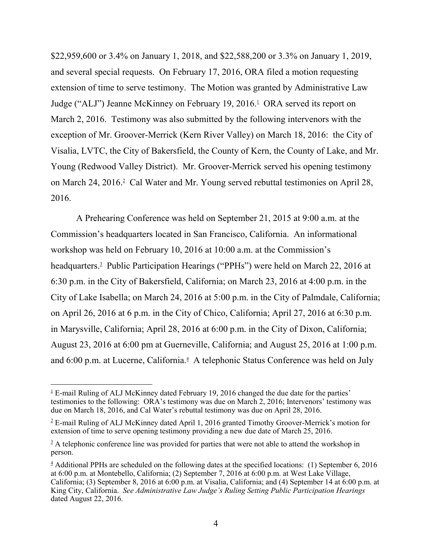\$22,959,600 or 3.4% on January 1, 2018, and \$22,588,200 or 3.3% on January 1, 2019, and several special requests. On February 17, 2016, ORA filed a motion requesting extension of time to serve testimony. The Motion was granted by Administrative Law Judge ("ALJ") Jeanne McKinney on February 19, 2016.<sup>1</sup> ORA served its report on March 2, 2016. Testimony was also submitted by the following intervenors with the exception of Mr. Groover-Merrick (Kern River Valley) on March 18, 2016: the City of Visalia, LVTC, the City of Bakersfield, the County of Kern, the County of Lake, and Mr. Young (Redwood Valley District). Mr. Groover-Merrick served his opening testimony on March 24, 2016.<sup>2</sup> Cal Water and Mr. Young served rebuttal testimonies on April 28, 2016.

A Prehearing Conference was held on September 21, 2015 at 9:00 a.m. at the Commission's headquarters located in San Francisco, California. An informational workshop was held on February 10, 2016 at 10:00 a.m. at the Commission's headquarters.<sup>3</sup> Public Participation Hearings ("PPHs") were held on March 22, 2016 at 6:30 p.m. in the City of Bakersfield, California; on March 23, 2016 at 4:00 p.m. in the City of Lake Isabella; on March 24, 2016 at 5:00 p.m. in the City of Palmdale, California; on April 26, 2016 at 6 p.m. in the City of Chico, California; April 27, 2016 at 6:30 p.m. in Marysville, California; April 28, 2016 at 6:00 p.m. in the City of Dixon, California; August 23, 2016 at 6:00 pm at Guerneville, California; and August 25, 2016 at 1:00 p.m. and 6:00 p.m. at Lucerne, California.<sup>4</sup> A telephonic Status Conference was held on July

 $1 \text{ E-mail}$  Ruling of ALJ McKinney dated February 19, 2016 changed the due date for the parties' testimonies to the following: ORA's testimony was due on March 2, 2016; Intervenors' testimony was due on March 18, 2016, and Cal Water's rebuttal testimony was due on April 28, 2016.

 $2^2$  E-mail Ruling of ALJ McKinney dated April 1, 2016 granted Timothy Groover-Merrick's motion for extension of time to serve opening testimony providing a new due date of March 25, 2016.

 $3 \text{ A}$  telephonic conference line was provided for parties that were not able to attend the workshop in person.

 $4$  Additional PPHs are scheduled on the following dates at the specified locations: (1) September 6, 2016 at 6:00 p.m. at Montebello, California; (2) September 7, 2016 at 6:00 p.m. at West Lake Village, California; (3) September 8, 2016 at 6:00 p.m. at Visalia, California; and (4) September 14 at 6:00 p.m. at King City, California. *See Administrative Law Judge's Ruling Setting Public Participation Hearings* dated August 22, 2016.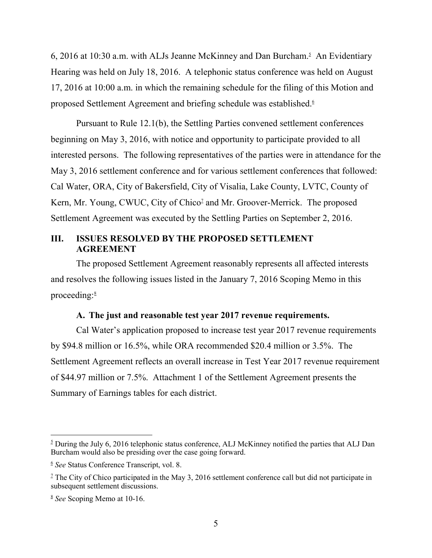6, 2016 at 10:30 a.m. with ALJs Jeanne McKinney and Dan Burcham.<sup>5</sup> An Evidentiary Hearing was held on July 18, 2016. A telephonic status conference was held on August 17, 2016 at 10:00 a.m. in which the remaining schedule for the filing of this Motion and proposed Settlement Agreement and briefing schedule was established.<sup>6</sup>

Pursuant to Rule 12.1(b), the Settling Parties convened settlement conferences beginning on May 3, 2016, with notice and opportunity to participate provided to all interested persons. The following representatives of the parties were in attendance for the May 3, 2016 settlement conference and for various settlement conferences that followed: Cal Water, ORA, City of Bakersfield, City of Visalia, Lake County, LVTC, County of Kern, Mr. Young, CWUC, City of Chico<sup>2</sup> and Mr. Groover-Merrick. The proposed Settlement Agreement was executed by the Settling Parties on September 2, 2016.

# **III. ISSUES RESOLVED BY THE PROPOSED SETTLEMENT AGREEMENT**

The proposed Settlement Agreement reasonably represents all affected interests and resolves the following issues listed in the January 7, 2016 Scoping Memo in this proceeding: $8$ 

### **A. The just and reasonable test year 2017 revenue requirements.**

Cal Water's application proposed to increase test year 2017 revenue requirements by \$94.8 million or 16.5%, while ORA recommended \$20.4 million or 3.5%. The Settlement Agreement reflects an overall increase in Test Year 2017 revenue requirement of \$44.97 million or 7.5%. Attachment 1 of the Settlement Agreement presents the Summary of Earnings tables for each district.

 $\frac{5}{2}$  During the July 6, 2016 telephonic status conference, ALJ McKinney notified the parties that ALJ Dan Burcham would also be presiding over the case going forward.

<sup>6</sup> *See* Status Conference Transcript, vol. 8.

<sup>&</sup>lt;sup>7</sup> The City of Chico participated in the May 3, 2016 settlement conference call but did not participate in subsequent settlement discussions.

<sup>8</sup> *See* Scoping Memo at 10-16.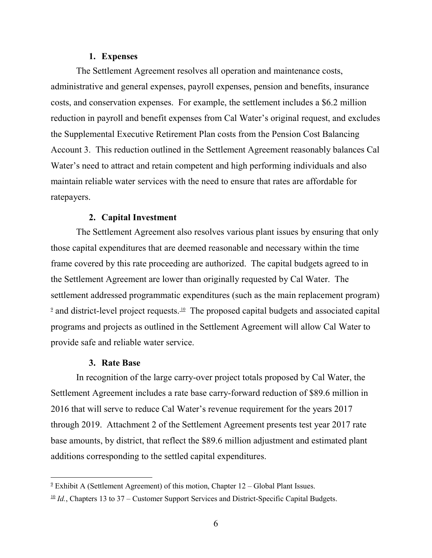#### **1. Expenses**

The Settlement Agreement resolves all operation and maintenance costs, administrative and general expenses, payroll expenses, pension and benefits, insurance costs, and conservation expenses. For example, the settlement includes a \$6.2 million reduction in payroll and benefit expenses from Cal Water's original request, and excludes the Supplemental Executive Retirement Plan costs from the Pension Cost Balancing Account 3. This reduction outlined in the Settlement Agreement reasonably balances Cal Water's need to attract and retain competent and high performing individuals and also maintain reliable water services with the need to ensure that rates are affordable for ratepayers.

### **2. Capital Investment**

The Settlement Agreement also resolves various plant issues by ensuring that only those capital expenditures that are deemed reasonable and necessary within the time frame covered by this rate proceeding are authorized. The capital budgets agreed to in the Settlement Agreement are lower than originally requested by Cal Water. The settlement addressed programmatic expenditures (such as the main replacement program)  $9$  and district-level project requests.  $10$  The proposed capital budgets and associated capital programs and projects as outlined in the Settlement Agreement will allow Cal Water to provide safe and reliable water service.

#### **3. Rate Base**

In recognition of the large carry-over project totals proposed by Cal Water, the Settlement Agreement includes a rate base carry-forward reduction of \$89.6 million in 2016 that will serve to reduce Cal Water's revenue requirement for the years 2017 through 2019. Attachment 2 of the Settlement Agreement presents test year 2017 rate base amounts, by district, that reflect the \$89.6 million adjustment and estimated plant additions corresponding to the settled capital expenditures.

 $9$ <sup>9</sup> Exhibit A (Settlement Agreement) of this motion, Chapter  $12$  – Global Plant Issues.

 $\frac{10}{10}$  *Id.*, Chapters 13 to 37 – Customer Support Services and District-Specific Capital Budgets.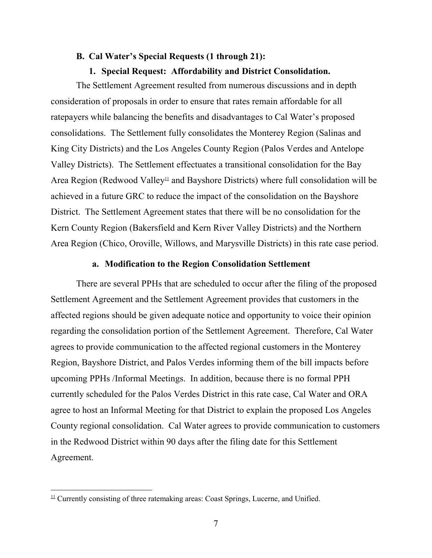#### **B. Cal Water's Special Requests (1 through 21):**

#### **1. Special Request: Affordability and District Consolidation.**

The Settlement Agreement resulted from numerous discussions and in depth consideration of proposals in order to ensure that rates remain affordable for all ratepayers while balancing the benefits and disadvantages to Cal Water's proposed consolidations. The Settlement fully consolidates the Monterey Region (Salinas and King City Districts) and the Los Angeles County Region (Palos Verdes and Antelope Valley Districts). The Settlement effectuates a transitional consolidation for the Bay Area Region (Redwood Valley<sup>11</sup> and Bayshore Districts) where full consolidation will be achieved in a future GRC to reduce the impact of the consolidation on the Bayshore District. The Settlement Agreement states that there will be no consolidation for the Kern County Region (Bakersfield and Kern River Valley Districts) and the Northern Area Region (Chico, Oroville, Willows, and Marysville Districts) in this rate case period.

#### **a. Modification to the Region Consolidation Settlement**

There are several PPHs that are scheduled to occur after the filing of the proposed Settlement Agreement and the Settlement Agreement provides that customers in the affected regions should be given adequate notice and opportunity to voice their opinion regarding the consolidation portion of the Settlement Agreement. Therefore, Cal Water agrees to provide communication to the affected regional customers in the Monterey Region, Bayshore District, and Palos Verdes informing them of the bill impacts before upcoming PPHs /Informal Meetings. In addition, because there is no formal PPH currently scheduled for the Palos Verdes District in this rate case, Cal Water and ORA agree to host an Informal Meeting for that District to explain the proposed Los Angeles County regional consolidation. Cal Water agrees to provide communication to customers in the Redwood District within 90 days after the filing date for this Settlement Agreement.

 $\frac{11}{11}$  Currently consisting of three ratemaking areas: Coast Springs, Lucerne, and Unified.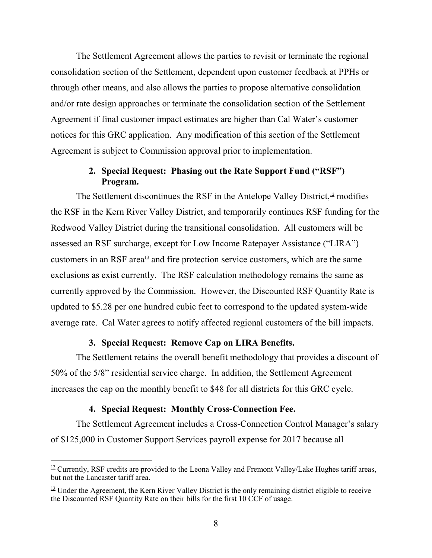The Settlement Agreement allows the parties to revisit or terminate the regional consolidation section of the Settlement, dependent upon customer feedback at PPHs or through other means, and also allows the parties to propose alternative consolidation and/or rate design approaches or terminate the consolidation section of the Settlement Agreement if final customer impact estimates are higher than Cal Water's customer notices for this GRC application. Any modification of this section of the Settlement Agreement is subject to Commission approval prior to implementation.

# **2. Special Request: Phasing out the Rate Support Fund ("RSF") Program.**

The Settlement discontinues the RSF in the Antelope Valley District, $\frac{12}{2}$  modifies the RSF in the Kern River Valley District, and temporarily continues RSF funding for the Redwood Valley District during the transitional consolidation. All customers will be assessed an RSF surcharge, except for Low Income Ratepayer Assistance ("LIRA") customers in an RSF area<sup>13</sup> and fire protection service customers, which are the same exclusions as exist currently. The RSF calculation methodology remains the same as currently approved by the Commission. However, the Discounted RSF Quantity Rate is updated to \$5.28 per one hundred cubic feet to correspond to the updated system-wide average rate. Cal Water agrees to notify affected regional customers of the bill impacts.

### **3. Special Request: Remove Cap on LIRA Benefits.**

The Settlement retains the overall benefit methodology that provides a discount of 50% of the 5/8" residential service charge. In addition, the Settlement Agreement increases the cap on the monthly benefit to \$48 for all districts for this GRC cycle.

### **4. Special Request: Monthly Cross-Connection Fee.**

The Settlement Agreement includes a Cross-Connection Control Manager's salary of \$125,000 in Customer Support Services payroll expense for 2017 because all

 $12$  Currently, RSF credits are provided to the Leona Valley and Fremont Valley/Lake Hughes tariff areas, but not the Lancaster tariff area.

 $\frac{13}{2}$  Under the Agreement, the Kern River Valley District is the only remaining district eligible to receive the Discounted RSF Quantity Rate on their bills for the first 10 CCF of usage.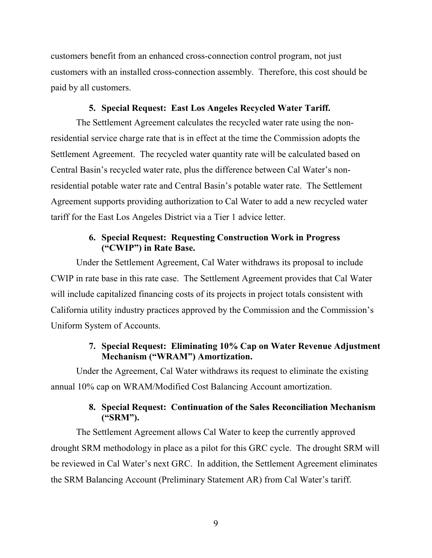customers benefit from an enhanced cross-connection control program, not just customers with an installed cross-connection assembly. Therefore, this cost should be paid by all customers.

### **5. Special Request: East Los Angeles Recycled Water Tariff.**

The Settlement Agreement calculates the recycled water rate using the nonresidential service charge rate that is in effect at the time the Commission adopts the Settlement Agreement. The recycled water quantity rate will be calculated based on Central Basin's recycled water rate, plus the difference between Cal Water's nonresidential potable water rate and Central Basin's potable water rate. The Settlement Agreement supports providing authorization to Cal Water to add a new recycled water tariff for the East Los Angeles District via a Tier 1 advice letter.

## **6. Special Request: Requesting Construction Work in Progress ("CWIP") in Rate Base.**

Under the Settlement Agreement, Cal Water withdraws its proposal to include CWIP in rate base in this rate case. The Settlement Agreement provides that Cal Water will include capitalized financing costs of its projects in project totals consistent with California utility industry practices approved by the Commission and the Commission's Uniform System of Accounts.

# **7. Special Request: Eliminating 10% Cap on Water Revenue Adjustment Mechanism ("WRAM") Amortization.**

Under the Agreement, Cal Water withdraws its request to eliminate the existing annual 10% cap on WRAM/Modified Cost Balancing Account amortization.

# **8. Special Request: Continuation of the Sales Reconciliation Mechanism ("SRM").**

The Settlement Agreement allows Cal Water to keep the currently approved drought SRM methodology in place as a pilot for this GRC cycle. The drought SRM will be reviewed in Cal Water's next GRC. In addition, the Settlement Agreement eliminates the SRM Balancing Account (Preliminary Statement AR) from Cal Water's tariff.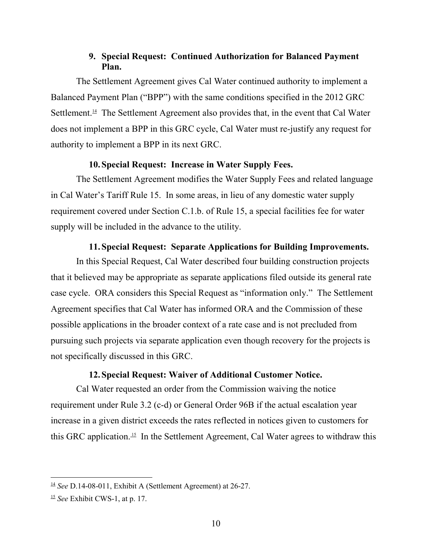# **9. Special Request: Continued Authorization for Balanced Payment Plan.**

The Settlement Agreement gives Cal Water continued authority to implement a Balanced Payment Plan ("BPP") with the same conditions specified in the 2012 GRC Settlement.<sup>14</sup> The Settlement Agreement also provides that, in the event that Cal Water does not implement a BPP in this GRC cycle, Cal Water must re-justify any request for authority to implement a BPP in its next GRC.

# **10.Special Request: Increase in Water Supply Fees.**

The Settlement Agreement modifies the Water Supply Fees and related language in Cal Water's Tariff Rule 15. In some areas, in lieu of any domestic water supply requirement covered under Section C.1.b. of Rule 15, a special facilities fee for water supply will be included in the advance to the utility.

# **11.Special Request: Separate Applications for Building Improvements.**

In this Special Request, Cal Water described four building construction projects that it believed may be appropriate as separate applications filed outside its general rate case cycle. ORA considers this Special Request as "information only." The Settlement Agreement specifies that Cal Water has informed ORA and the Commission of these possible applications in the broader context of a rate case and is not precluded from pursuing such projects via separate application even though recovery for the projects is not specifically discussed in this GRC.

### **12.Special Request: Waiver of Additional Customer Notice.**

Cal Water requested an order from the Commission waiving the notice requirement under Rule 3.2 (c-d) or General Order 96B if the actual escalation year increase in a given district exceeds the rates reflected in notices given to customers for this GRC application.<sup>15</sup> In the Settlement Agreement, Cal Water agrees to withdraw this

 $\frac{14}{1}$  *See* D.14-08-011, Exhibit A (Settlement Agreement) at 26-27.

<sup>15</sup> *See* Exhibit CWS-1, at p. 17.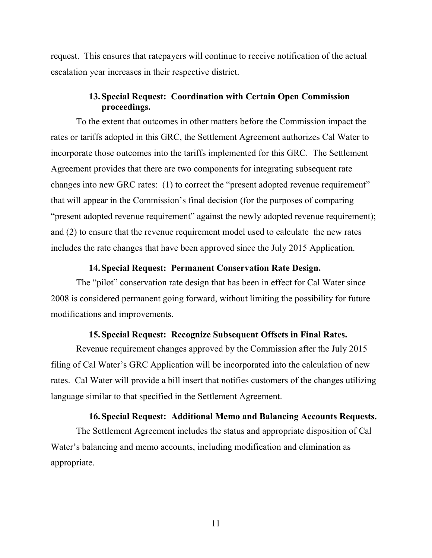request. This ensures that ratepayers will continue to receive notification of the actual escalation year increases in their respective district.

# **13.Special Request: Coordination with Certain Open Commission proceedings.**

To the extent that outcomes in other matters before the Commission impact the rates or tariffs adopted in this GRC, the Settlement Agreement authorizes Cal Water to incorporate those outcomes into the tariffs implemented for this GRC. The Settlement Agreement provides that there are two components for integrating subsequent rate changes into new GRC rates: (1) to correct the "present adopted revenue requirement" that will appear in the Commission's final decision (for the purposes of comparing "present adopted revenue requirement" against the newly adopted revenue requirement); and (2) to ensure that the revenue requirement model used to calculate the new rates includes the rate changes that have been approved since the July 2015 Application.

### **14.Special Request: Permanent Conservation Rate Design.**

The "pilot" conservation rate design that has been in effect for Cal Water since 2008 is considered permanent going forward, without limiting the possibility for future modifications and improvements.

### **15.Special Request: Recognize Subsequent Offsets in Final Rates.**

Revenue requirement changes approved by the Commission after the July 2015 filing of Cal Water's GRC Application will be incorporated into the calculation of new rates. Cal Water will provide a bill insert that notifies customers of the changes utilizing language similar to that specified in the Settlement Agreement.

### **16.Special Request: Additional Memo and Balancing Accounts Requests.**

The Settlement Agreement includes the status and appropriate disposition of Cal Water's balancing and memo accounts, including modification and elimination as appropriate.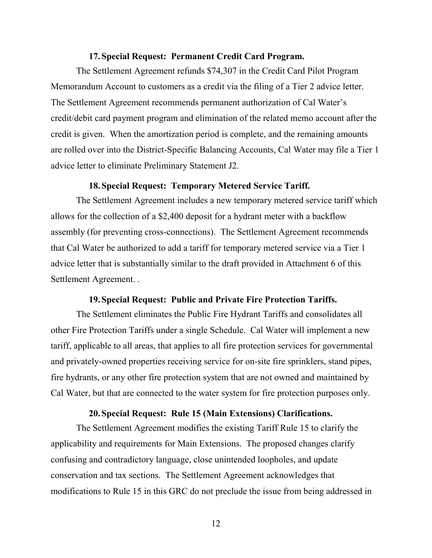#### **17.Special Request: Permanent Credit Card Program.**

The Settlement Agreement refunds \$74,307 in the Credit Card Pilot Program Memorandum Account to customers as a credit via the filing of a Tier 2 advice letter. The Settlement Agreement recommends permanent authorization of Cal Water's credit/debit card payment program and elimination of the related memo account after the credit is given. When the amortization period is complete, and the remaining amounts are rolled over into the District-Specific Balancing Accounts, Cal Water may file a Tier 1 advice letter to eliminate Preliminary Statement J2.

#### **18.Special Request: Temporary Metered Service Tariff.**

The Settlement Agreement includes a new temporary metered service tariff which allows for the collection of a \$2,400 deposit for a hydrant meter with a backflow assembly (for preventing cross-connections). The Settlement Agreement recommends that Cal Water be authorized to add a tariff for temporary metered service via a Tier 1 advice letter that is substantially similar to the draft provided in Attachment 6 of this Settlement Agreement. .

#### **19.Special Request: Public and Private Fire Protection Tariffs.**

The Settlement eliminates the Public Fire Hydrant Tariffs and consolidates all other Fire Protection Tariffs under a single Schedule. Cal Water will implement a new tariff, applicable to all areas, that applies to all fire protection services for governmental and privately-owned properties receiving service for on-site fire sprinklers, stand pipes, fire hydrants, or any other fire protection system that are not owned and maintained by Cal Water, but that are connected to the water system for fire protection purposes only.

### **20.Special Request: Rule 15 (Main Extensions) Clarifications.**

The Settlement Agreement modifies the existing Tariff Rule 15 to clarify the applicability and requirements for Main Extensions. The proposed changes clarify confusing and contradictory language, close unintended loopholes, and update conservation and tax sections. The Settlement Agreement acknowledges that modifications to Rule 15 in this GRC do not preclude the issue from being addressed in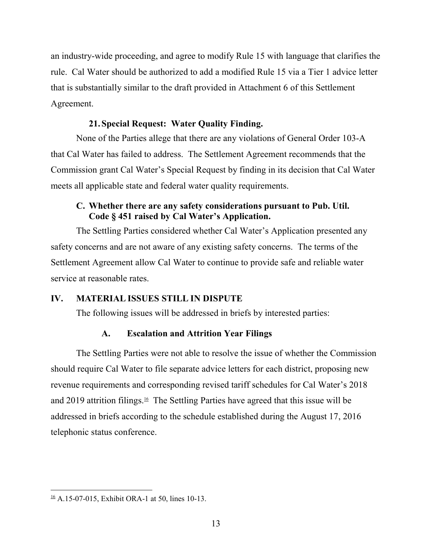an industry-wide proceeding, and agree to modify Rule 15 with language that clarifies the rule. Cal Water should be authorized to add a modified Rule 15 via a Tier 1 advice letter that is substantially similar to the draft provided in Attachment 6 of this Settlement Agreement.

# **21.Special Request: Water Quality Finding.**

None of the Parties allege that there are any violations of General Order 103-A that Cal Water has failed to address. The Settlement Agreement recommends that the Commission grant Cal Water's Special Request by finding in its decision that Cal Water meets all applicable state and federal water quality requirements.

# **C. Whether there are any safety considerations pursuant to Pub. Util. Code § 451 raised by Cal Water's Application.**

The Settling Parties considered whether Cal Water's Application presented any safety concerns and are not aware of any existing safety concerns. The terms of the Settlement Agreement allow Cal Water to continue to provide safe and reliable water service at reasonable rates.

### **IV. MATERIAL ISSUES STILL IN DISPUTE**

The following issues will be addressed in briefs by interested parties:

# **A. Escalation and Attrition Year Filings**

The Settling Parties were not able to resolve the issue of whether the Commission should require Cal Water to file separate advice letters for each district, proposing new revenue requirements and corresponding revised tariff schedules for Cal Water's 2018 and 2019 attrition filings.<sup>16</sup> The Settling Parties have agreed that this issue will be addressed in briefs according to the schedule established during the August 17, 2016 telephonic status conference.

 $\frac{16}{16}$  A.15-07-015, Exhibit ORA-1 at 50, lines 10-13.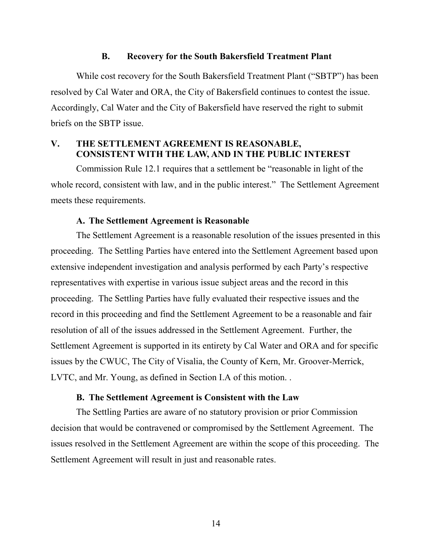#### **B. Recovery for the South Bakersfield Treatment Plant**

While cost recovery for the South Bakersfield Treatment Plant ("SBTP") has been resolved by Cal Water and ORA, the City of Bakersfield continues to contest the issue. Accordingly, Cal Water and the City of Bakersfield have reserved the right to submit briefs on the SBTP issue.

# **V. THE SETTLEMENT AGREEMENT IS REASONABLE, CONSISTENT WITH THE LAW, AND IN THE PUBLIC INTEREST**

Commission Rule 12.1 requires that a settlement be "reasonable in light of the whole record, consistent with law, and in the public interest." The Settlement Agreement meets these requirements.

### **A. The Settlement Agreement is Reasonable**

The Settlement Agreement is a reasonable resolution of the issues presented in this proceeding. The Settling Parties have entered into the Settlement Agreement based upon extensive independent investigation and analysis performed by each Party's respective representatives with expertise in various issue subject areas and the record in this proceeding. The Settling Parties have fully evaluated their respective issues and the record in this proceeding and find the Settlement Agreement to be a reasonable and fair resolution of all of the issues addressed in the Settlement Agreement. Further, the Settlement Agreement is supported in its entirety by Cal Water and ORA and for specific issues by the CWUC, The City of Visalia, the County of Kern, Mr. Groover-Merrick, LVTC, and Mr. Young, as defined in Section I.A of this motion. .

#### **B. The Settlement Agreement is Consistent with the Law**

The Settling Parties are aware of no statutory provision or prior Commission decision that would be contravened or compromised by the Settlement Agreement. The issues resolved in the Settlement Agreement are within the scope of this proceeding. The Settlement Agreement will result in just and reasonable rates.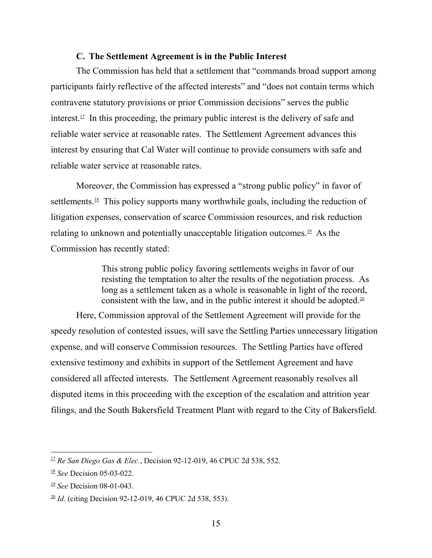#### **C. The Settlement Agreement is in the Public Interest**

The Commission has held that a settlement that "commands broad support among participants fairly reflective of the affected interests" and "does not contain terms which contravene statutory provisions or prior Commission decisions" serves the public interest.<sup>17</sup> In this proceeding, the primary public interest is the delivery of safe and reliable water service at reasonable rates. The Settlement Agreement advances this interest by ensuring that Cal Water will continue to provide consumers with safe and reliable water service at reasonable rates.

Moreover, the Commission has expressed a "strong public policy" in favor of settlements.<sup>18</sup> This policy supports many worthwhile goals, including the reduction of litigation expenses, conservation of scarce Commission resources, and risk reduction relating to unknown and potentially unacceptable litigation outcomes.19 As the Commission has recently stated:

> This strong public policy favoring settlements weighs in favor of our resisting the temptation to alter the results of the negotiation process. As long as a settlement taken as a whole is reasonable in light of the record, consistent with the law, and in the public interest it should be adopted.<sup>20</sup>

Here, Commission approval of the Settlement Agreement will provide for the speedy resolution of contested issues, will save the Settling Parties unnecessary litigation expense, and will conserve Commission resources. The Settling Parties have offered extensive testimony and exhibits in support of the Settlement Agreement and have considered all affected interests. The Settlement Agreement reasonably resolves all disputed items in this proceeding with the exception of the escalation and attrition year filings, and the South Bakersfield Treatment Plant with regard to the City of Bakersfield.

<sup>17</sup> *Re San Diego Gas & Elec.*, Decision 92-12-019, 46 CPUC 2d 538, 552.

<sup>18</sup> *See* Decision 05-03-022.

<sup>19</sup> *See* Decision 08-01-043.

 $\frac{20}{1}$  *Id.* (citing Decision 92-12-019, 46 CPUC 2d 538, 553).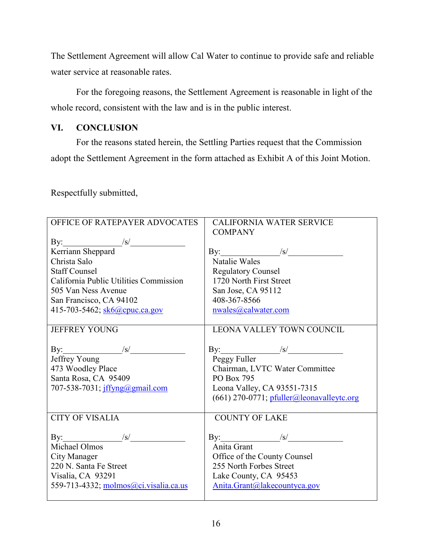The Settlement Agreement will allow Cal Water to continue to provide safe and reliable water service at reasonable rates.

For the foregoing reasons, the Settlement Agreement is reasonable in light of the whole record, consistent with the law and is in the public interest.

# **VI. CONCLUSION**

For the reasons stated herein, the Settling Parties request that the Commission adopt the Settlement Agreement in the form attached as Exhibit A of this Joint Motion.

Respectfully submitted,

| OFFICE OF RATEPAYER ADVOCATES                                          | <b>CALIFORNIA WATER SERVICE</b>             |
|------------------------------------------------------------------------|---------------------------------------------|
|                                                                        | <b>COMPANY</b>                              |
|                                                                        |                                             |
|                                                                        | By: $/s/$                                   |
| Christa Salo                                                           | Natalie Wales                               |
| <b>Staff Counsel</b>                                                   | <b>Regulatory Counsel</b>                   |
| California Public Utilities Commission                                 | 1720 North First Street                     |
| 505 Van Ness Avenue                                                    | San Jose, CA 95112                          |
| San Francisco, CA 94102                                                | 408-367-8566                                |
| 415-703-5462; sk6@cpuc.ca.gov                                          | nwales@calwater.com                         |
|                                                                        |                                             |
| <b>JEFFREY YOUNG</b>                                                   | <b>LEONA VALLEY TOWN COUNCIL</b>            |
|                                                                        |                                             |
| By: $\frac{1}{s}$                                                      | By: $/s/$                                   |
| Jeffrey Young                                                          | Peggy Fuller                                |
| 473 Woodley Place                                                      | Chairman, LVTC Water Committee              |
| Santa Rosa, CA 95409                                                   | <b>PO Box 795</b>                           |
| 707-538-7031; jffyng@gmail.com                                         | Leona Valley, CA 93551-7315                 |
|                                                                        | $(661)$ 270-0771; pfuller@leonavalleytc.org |
|                                                                        |                                             |
| <b>CITY OF VISALIA</b>                                                 | <b>COUNTY OF LAKE</b>                       |
|                                                                        |                                             |
| By: $\frac{ s }{\sqrt{1 + \frac{1}{s}} \cdot \sqrt{1 + \frac{1}{s}}}}$ | By: $\frac{ s }{s}$                         |
| Michael Olmos                                                          | Anita Grant                                 |
| City Manager                                                           | Office of the County Counsel                |
| 220 N. Santa Fe Street                                                 | 255 North Forbes Street                     |
| Visalia, CA 93291                                                      | Lake County, CA 95453                       |
| 559-713-4332; molmos@ci.visalia.ca.us                                  | Anita.Grant@lakecountyca.gov                |
|                                                                        |                                             |